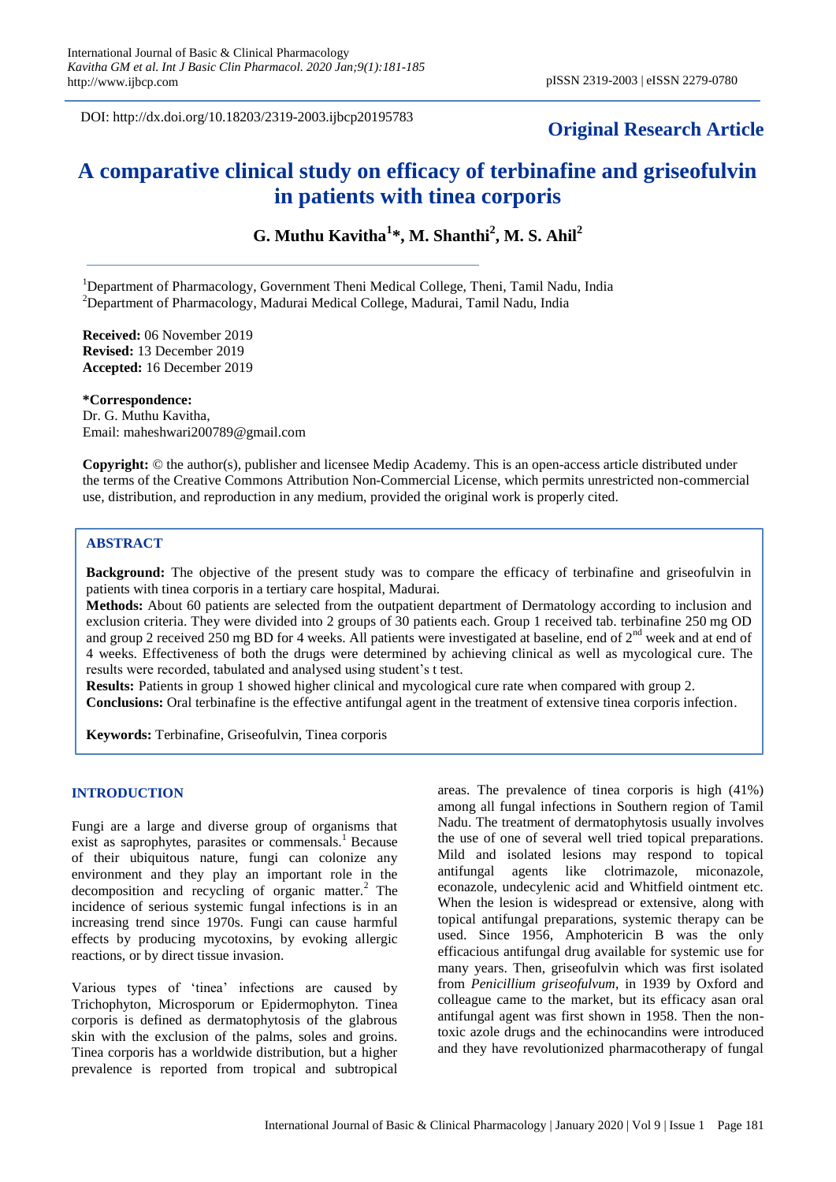DOI: http://dx.doi.org/10.18203/2319-2003.ijbcp20195783

## **Original Research Article**

# **A comparative clinical study on efficacy of terbinafine and griseofulvin in patients with tinea corporis**

**G. Muthu Kavitha<sup>1</sup> \*, M. Shanthi<sup>2</sup> , M. S. Ahil<sup>2</sup>**

<sup>1</sup>Department of Pharmacology, Government Theni Medical College, Theni, Tamil Nadu, India  $2$ Department of Pharmacology, Madurai Medical College, Madurai, Tamil Nadu, India

**Received:** 06 November 2019 **Revised:** 13 December 2019 **Accepted:** 16 December 2019

**\*Correspondence:** Dr. G. Muthu Kavitha, Email: maheshwari200789@gmail.com

**Copyright:** © the author(s), publisher and licensee Medip Academy. This is an open-access article distributed under the terms of the Creative Commons Attribution Non-Commercial License, which permits unrestricted non-commercial use, distribution, and reproduction in any medium, provided the original work is properly cited.

## **ABSTRACT**

**Background:** The objective of the present study was to compare the efficacy of terbinafine and griseofulvin in patients with tinea corporis in a tertiary care hospital, Madurai.

**Methods:** About 60 patients are selected from the outpatient department of Dermatology according to inclusion and exclusion criteria. They were divided into 2 groups of 30 patients each. Group 1 received tab. terbinafine 250 mg OD and group 2 received 250 mg BD for 4 weeks. All patients were investigated at baseline, end of 2<sup>nd</sup> week and at end of 4 weeks. Effectiveness of both the drugs were determined by achieving clinical as well as mycological cure. The results were recorded, tabulated and analysed using student's t test.

**Results:** Patients in group 1 showed higher clinical and mycological cure rate when compared with group 2.

**Conclusions:** Oral terbinafine is the effective antifungal agent in the treatment of extensive tinea corporis infection.

**Keywords:** Terbinafine, Griseofulvin, Tinea corporis

## **INTRODUCTION**

Fungi are a large and diverse group of organisms that exist as saprophytes, parasites or commensals.<sup>1</sup> Because of their ubiquitous nature, fungi can colonize any environment and they play an important role in the decomposition and recycling of organic matter.<sup>2</sup> The incidence of serious systemic fungal infections is in an increasing trend since 1970s. Fungi can cause harmful effects by producing mycotoxins, by evoking allergic reactions, or by direct tissue invasion.

Various types of 'tinea' infections are caused by Trichophyton, Microsporum or Epidermophyton. Tinea corporis is defined as dermatophytosis of the glabrous skin with the exclusion of the palms, soles and groins. Tinea corporis has a worldwide distribution, but a higher prevalence is reported from tropical and subtropical

areas. The prevalence of tinea corporis is high (41%) among all fungal infections in Southern region of Tamil Nadu. The treatment of dermatophytosis usually involves the use of one of several well tried topical preparations. Mild and isolated lesions may respond to topical antifungal agents like clotrimazole, miconazole, econazole, undecylenic acid and Whitfield ointment etc. When the lesion is widespread or extensive, along with topical antifungal preparations, systemic therapy can be used. Since 1956, Amphotericin B was the only efficacious antifungal drug available for systemic use for many years. Then, griseofulvin which was first isolated from *Penicillium griseofulvum*, in 1939 by Oxford and colleague came to the market, but its efficacy asan oral antifungal agent was first shown in 1958. Then the nontoxic azole drugs and the echinocandins were introduced and they have revolutionized pharmacotherapy of fungal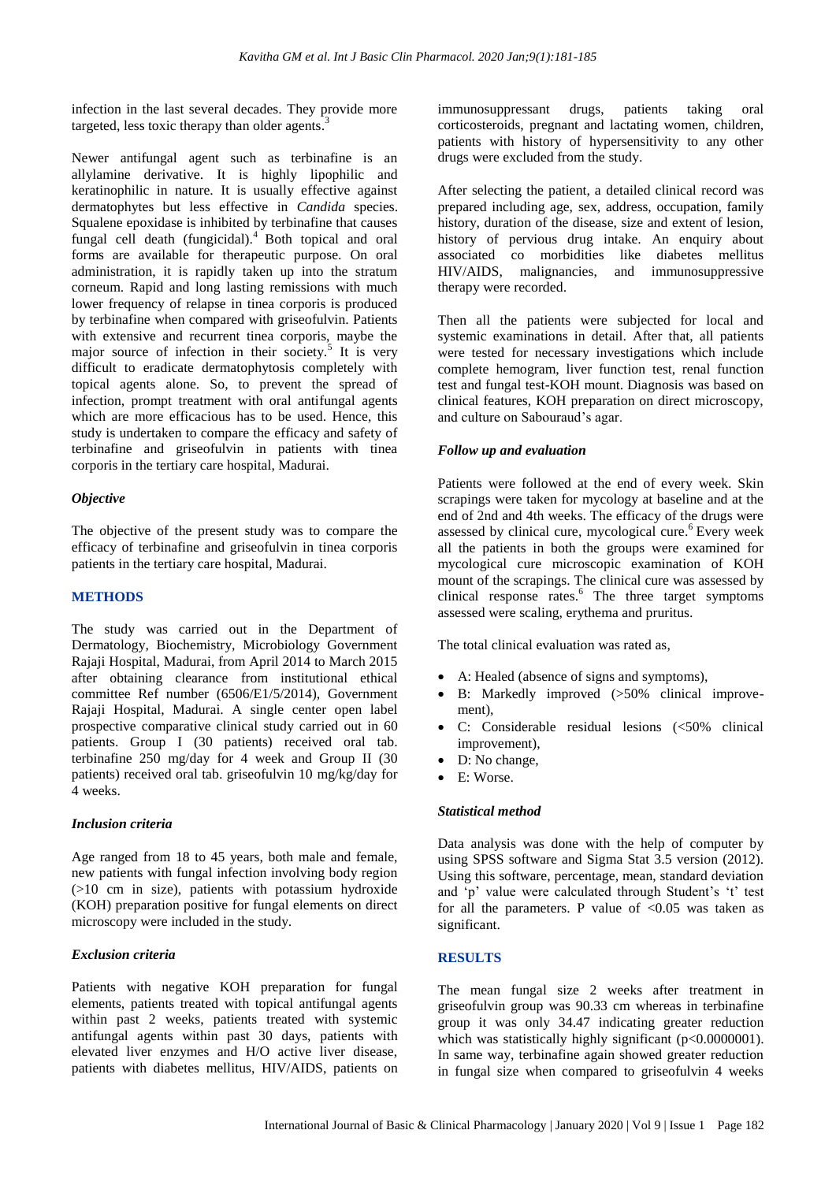infection in the last several decades. They provide more targeted, less toxic therapy than older agents. $3$ 

Newer antifungal agent such as terbinafine is an allylamine derivative. It is highly lipophilic and keratinophilic in nature. It is usually effective against dermatophytes but less effective in *Candida* species. Squalene epoxidase is inhibited by terbinafine that causes fungal cell death (fungicidal).<sup>4</sup> Both topical and oral forms are available for therapeutic purpose. On oral administration, it is rapidly taken up into the stratum corneum. Rapid and long lasting remissions with much lower frequency of relapse in tinea corporis is produced by terbinafine when compared with griseofulvin. Patients with extensive and recurrent tinea corporis, maybe the major source of infection in their society.<sup>5</sup> It is very difficult to eradicate dermatophytosis completely with topical agents alone. So, to prevent the spread of infection, prompt treatment with oral antifungal agents which are more efficacious has to be used. Hence, this study is undertaken to compare the efficacy and safety of terbinafine and griseofulvin in patients with tinea corporis in the tertiary care hospital, Madurai.

## *Objective*

The objective of the present study was to compare the efficacy of terbinafine and griseofulvin in tinea corporis patients in the tertiary care hospital, Madurai.

## **METHODS**

The study was carried out in the Department of Dermatology, Biochemistry, Microbiology Government Rajaji Hospital, Madurai, from April 2014 to March 2015 after obtaining clearance from institutional ethical committee Ref number (6506/E1/5/2014), Government Rajaji Hospital, Madurai. A single center open label prospective comparative clinical study carried out in 60 patients. Group I (30 patients) received oral tab. terbinafine 250 mg/day for 4 week and Group II (30 patients) received oral tab. griseofulvin 10 mg/kg/day for 4 weeks.

## *Inclusion criteria*

Age ranged from 18 to 45 years, both male and female, new patients with fungal infection involving body region (>10 cm in size), patients with potassium hydroxide (KOH) preparation positive for fungal elements on direct microscopy were included in the study.

## *Exclusion criteria*

Patients with negative KOH preparation for fungal elements, patients treated with topical antifungal agents within past 2 weeks, patients treated with systemic antifungal agents within past 30 days, patients with elevated liver enzymes and H/O active liver disease, patients with diabetes mellitus, HIV/AIDS, patients on immunosuppressant drugs, patients taking oral corticosteroids, pregnant and lactating women, children, patients with history of hypersensitivity to any other drugs were excluded from the study.

After selecting the patient, a detailed clinical record was prepared including age, sex, address, occupation, family history, duration of the disease, size and extent of lesion, history of pervious drug intake. An enquiry about associated co morbidities like diabetes mellitus HIV/AIDS, malignancies, and immunosuppressive therapy were recorded.

Then all the patients were subjected for local and systemic examinations in detail. After that, all patients were tested for necessary investigations which include complete hemogram, liver function test, renal function test and fungal test-KOH mount. Diagnosis was based on clinical features, KOH preparation on direct microscopy, and culture on Sabouraud's agar.

## *Follow up and evaluation*

Patients were followed at the end of every week. Skin scrapings were taken for mycology at baseline and at the end of 2nd and 4th weeks. The efficacy of the drugs were assessed by clinical cure, mycological cure. <sup>6</sup>Every week all the patients in both the groups were examined for mycological cure microscopic examination of KOH mount of the scrapings. The clinical cure was assessed by clinical response rates. <sup>6</sup> The three target symptoms assessed were scaling, erythema and pruritus.

The total clinical evaluation was rated as,

- A: Healed (absence of signs and symptoms),
- B: Markedly improved (>50% clinical improvement)
- C: Considerable residual lesions (<50% clinical improvement),
- D: No change,
- E: Worse.

## *Statistical method*

Data analysis was done with the help of computer by using SPSS software and Sigma Stat 3.5 version (2012). Using this software, percentage, mean, standard deviation and 'p' value were calculated through Student's 't' test for all the parameters. P value of  $< 0.05$  was taken as significant.

## **RESULTS**

The mean fungal size 2 weeks after treatment in griseofulvin group was 90.33 cm whereas in terbinafine group it was only 34.47 indicating greater reduction which was statistically highly significant (p<0.0000001). In same way, terbinafine again showed greater reduction in fungal size when compared to griseofulvin 4 weeks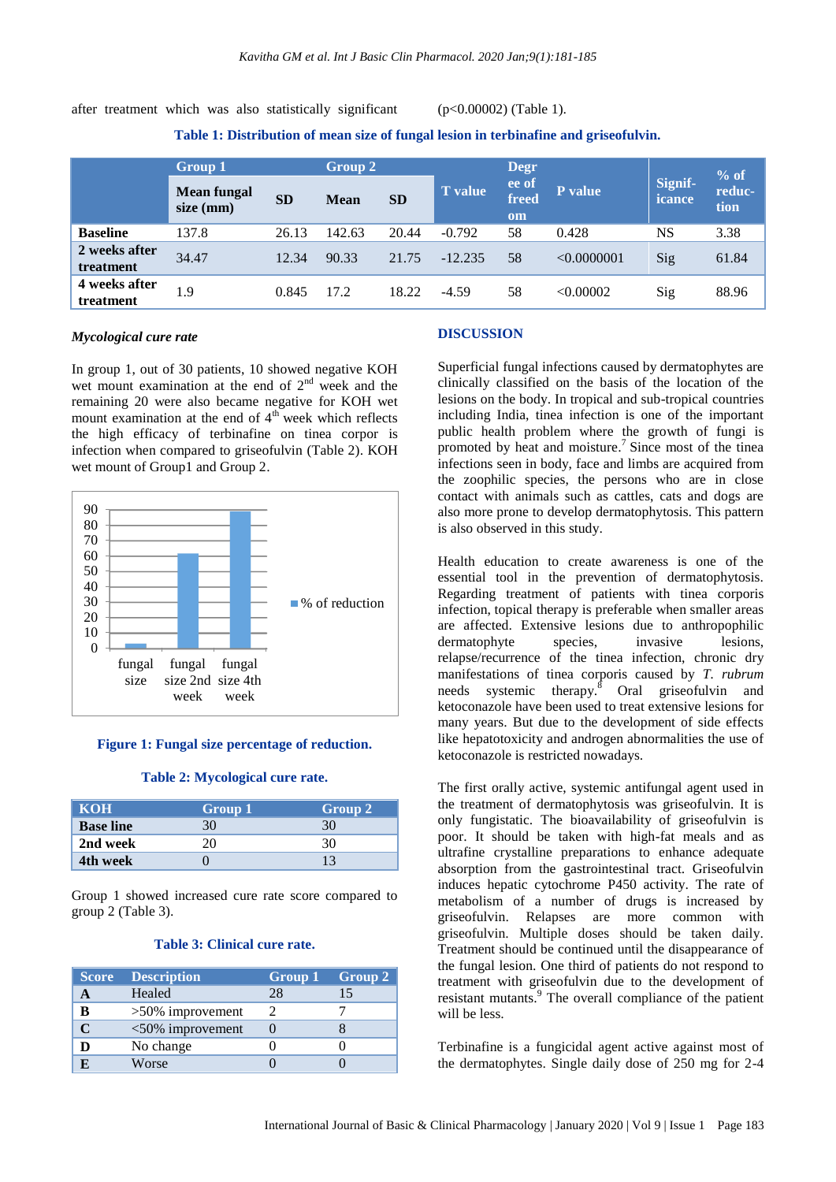after treatment which was also statistically significant (p<0.00002) (Table 1).

**Table 1: Distribution of mean size of fungal lesion in terbinafine and griseofulvin.**

|                            | <b>Group 1</b>           |           | Group 2     |           |                | <b>Degr</b>          |             |                   | $%$ of         |
|----------------------------|--------------------------|-----------|-------------|-----------|----------------|----------------------|-------------|-------------------|----------------|
|                            | Mean fungal<br>size (mm) | <b>SD</b> | <b>Mean</b> | <b>SD</b> | <b>T</b> value | ee of<br>freed<br>om | P value     | Signif-<br>icance | reduc-<br>tion |
| <b>Baseline</b>            | 137.8                    | 26.13     | 142.63      | 20.44     | $-0.792$       | 58                   | 0.428       | NS                | 3.38           |
| 2 weeks after<br>treatment | 34.47                    | 12.34     | 90.33       | 21.75     | $-12.235$      | 58                   | < 0.0000001 | Sig               | 61.84          |
| 4 weeks after<br>treatment | 1.9                      | 0.845     | 17.2        | 18.22     | $-4.59$        | 58                   | < 0.00002   | Sig               | 88.96          |

## *Mycological cure rate*

In group 1, out of 30 patients, 10 showed negative KOH wet mount examination at the end of 2<sup>nd</sup> week and the remaining 20 were also became negative for KOH wet mount examination at the end of  $4<sup>th</sup>$  week which reflects the high efficacy of terbinafine on tinea corpor is infection when compared to griseofulvin (Table 2). KOH wet mount of Group1 and Group 2.



#### **Figure 1: Fungal size percentage of reduction.**

#### **Table 2: Mycological cure rate.**

| <b>KOH</b>       | Group 1 | Group 2 |
|------------------|---------|---------|
| <b>Base line</b> |         |         |
| 2nd week         |         | 30      |
| 4th week         |         |         |

Group 1 showed increased cure rate score compared to group 2 (Table 3).

#### **Table 3: Clinical cure rate.**

| <b>Score</b> | <b>Description</b>  | Group 1 | $\sim$ Group 2. |
|--------------|---------------------|---------|-----------------|
|              | Healed              | 28      | 15              |
| B            | $>50\%$ improvement |         |                 |
|              | $<50\%$ improvement |         |                 |
|              | No change           |         |                 |
|              | Worse               |         |                 |

#### **DISCUSSION**

Superficial fungal infections caused by dermatophytes are clinically classified on the basis of the location of the lesions on the body. In tropical and sub-tropical countries including India, tinea infection is one of the important public health problem where the growth of fungi is promoted by heat and moisture. <sup>7</sup>Since most of the tinea infections seen in body, face and limbs are acquired from the zoophilic species, the persons who are in close contact with animals such as cattles, cats and dogs are also more prone to develop dermatophytosis. This pattern is also observed in this study.

Health education to create awareness is one of the essential tool in the prevention of dermatophytosis. Regarding treatment of patients with tinea corporis infection, topical therapy is preferable when smaller areas are affected. Extensive lesions due to anthropophilic dermatophyte species, invasive lesions, relapse/recurrence of the tinea infection, chronic dry manifestations of tinea corporis caused by *T. rubrum* needs systemic therapy.<sup>8</sup> Oral griseofulvin and ketoconazole have been used to treat extensive lesions for many years. But due to the development of side effects like hepatotoxicity and androgen abnormalities the use of ketoconazole is restricted nowadays.

The first orally active, systemic antifungal agent used in the treatment of dermatophytosis was griseofulvin. It is only fungistatic. The bioavailability of griseofulvin is poor. It should be taken with high-fat meals and as ultrafine crystalline preparations to enhance adequate absorption from the gastrointestinal tract. Griseofulvin induces hepatic cytochrome P450 activity. The rate of metabolism of a number of drugs is increased by griseofulvin. Relapses are more common with griseofulvin. Multiple doses should be taken daily. Treatment should be continued until the disappearance of the fungal lesion. One third of patients do not respond to treatment with griseofulvin due to the development of resistant mutants. <sup>9</sup> The overall compliance of the patient will be less.

Terbinafine is a fungicidal agent active against most of the dermatophytes. Single daily dose of 250 mg for 2-4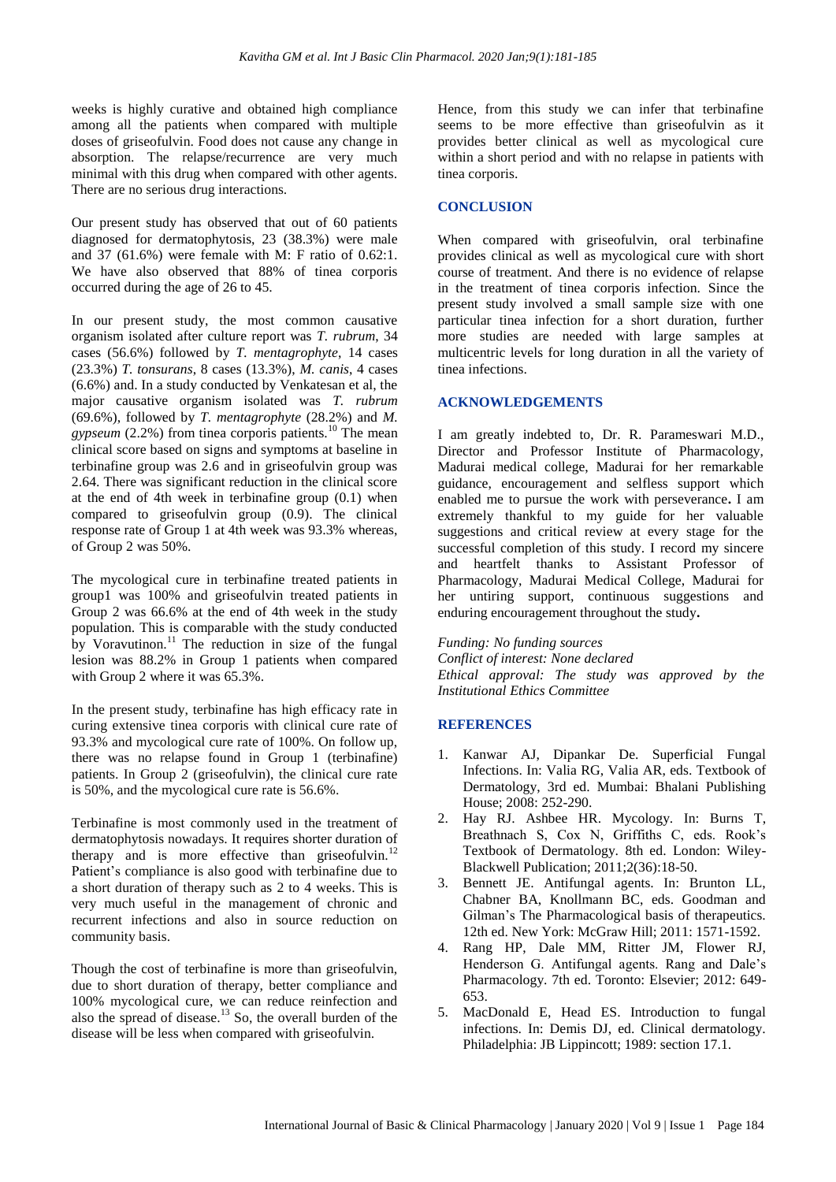weeks is highly curative and obtained high compliance among all the patients when compared with multiple doses of griseofulvin. Food does not cause any change in absorption. The relapse/recurrence are very much minimal with this drug when compared with other agents. There are no serious drug interactions.

Our present study has observed that out of 60 patients diagnosed for dermatophytosis, 23 (38.3%) were male and 37 (61.6%) were female with M: F ratio of 0.62:1. We have also observed that 88% of tinea corporis occurred during the age of 26 to 45.

In our present study, the most common causative organism isolated after culture report was *T. rubrum*, 34 cases (56.6%) followed by *T. mentagrophyte*, 14 cases (23.3%) *T. tonsurans*, 8 cases (13.3%), *M. canis*, 4 cases (6.6%) and. In a study conducted by Venkatesan et al, the major causative organism isolated was *T. rubrum* (69.6%), followed by *T. mentagrophyte* (28.2%) and *M. gypseum* (2.2%) from tinea corporis patients.<sup>10</sup> The mean clinical score based on signs and symptoms at baseline in terbinafine group was 2.6 and in griseofulvin group was 2.64. There was significant reduction in the clinical score at the end of 4th week in terbinafine group (0.1) when compared to griseofulvin group (0.9). The clinical response rate of Group 1 at 4th week was 93.3% whereas, of Group 2 was 50%.

The mycological cure in terbinafine treated patients in group1 was 100% and griseofulvin treated patients in Group 2 was 66.6% at the end of 4th week in the study population. This is comparable with the study conducted by Voravutinon.<sup>11</sup> The reduction in size of the fungal lesion was 88.2% in Group 1 patients when compared with Group 2 where it was 65.3%.

In the present study, terbinafine has high efficacy rate in curing extensive tinea corporis with clinical cure rate of 93.3% and mycological cure rate of 100%. On follow up, there was no relapse found in Group 1 (terbinafine) patients. In Group 2 (griseofulvin), the clinical cure rate is 50%, and the mycological cure rate is 56.6%.

Terbinafine is most commonly used in the treatment of dermatophytosis nowadays. It requires shorter duration of therapy and is more effective than griseofulvin.<sup>12</sup> Patient's compliance is also good with terbinafine due to a short duration of therapy such as 2 to 4 weeks. This is very much useful in the management of chronic and recurrent infections and also in source reduction on community basis.

Though the cost of terbinafine is more than griseofulvin, due to short duration of therapy, better compliance and 100% mycological cure, we can reduce reinfection and also the spread of disease. $13$  So, the overall burden of the disease will be less when compared with griseofulvin.

Hence, from this study we can infer that terbinafine seems to be more effective than griseofulvin as it provides better clinical as well as mycological cure within a short period and with no relapse in patients with tinea corporis.

## **CONCLUSION**

When compared with griseofulvin, oral terbinafine provides clinical as well as mycological cure with short course of treatment. And there is no evidence of relapse in the treatment of tinea corporis infection. Since the present study involved a small sample size with one particular tinea infection for a short duration, further more studies are needed with large samples at multicentric levels for long duration in all the variety of tinea infections.

## **ACKNOWLEDGEMENTS**

I am greatly indebted to, Dr. R. Parameswari M.D., Director and Professor Institute of Pharmacology, Madurai medical college, Madurai for her remarkable guidance, encouragement and selfless support which enabled me to pursue the work with perseverance**.** I am extremely thankful to my guide for her valuable suggestions and critical review at every stage for the successful completion of this study. I record my sincere and heartfelt thanks to Assistant Professor of Pharmacology, Madurai Medical College, Madurai for her untiring support, continuous suggestions and enduring encouragement throughout the study**.**

*Funding: No funding sources Conflict of interest: None declared Ethical approval: The study was approved by the Institutional Ethics Committee*

## **REFERENCES**

- 1. Kanwar AJ, Dipankar De. Superficial Fungal Infections. In: Valia RG, Valia AR, eds. Textbook of Dermatology, 3rd ed. Mumbai: Bhalani Publishing House; 2008: 252-290.
- 2. Hay RJ. Ashbee HR. Mycology. In: Burns T, Breathnach S, Cox N, Griffiths C, eds. Rook's Textbook of Dermatology. 8th ed. London: Wiley-Blackwell Publication; 2011;2(36):18-50.
- 3. Bennett JE. Antifungal agents. In: Brunton LL, Chabner BA, Knollmann BC, eds. Goodman and Gilman's The Pharmacological basis of therapeutics. 12th ed. New York: McGraw Hill; 2011: 1571-1592.
- 4. Rang HP, Dale MM, Ritter JM, Flower RJ, Henderson G. Antifungal agents. Rang and Dale's Pharmacology. 7th ed. Toronto: Elsevier; 2012: 649- 653.
- 5. MacDonald E, Head ES. Introduction to fungal infections. In: Demis DJ, ed. Clinical dermatology. Philadelphia: JB Lippincott; 1989: section 17.1.